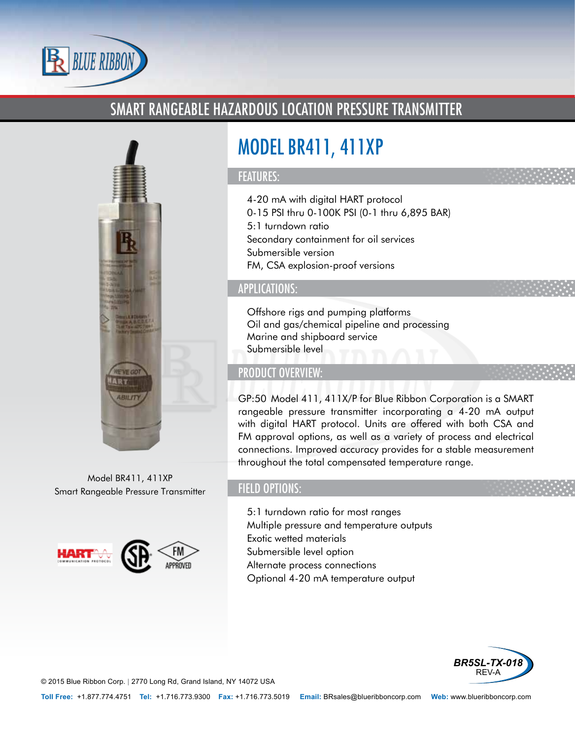

# SMART RANGEABLE HAZARDOUS LOCATION PRESSURE TRANSMITTER



Model BR411, 411XP Smart Rangeable Pressure Transmitter



# MODEL BR411, 411XP

### FEATURES:

- 4-20 mA with digital HART protocol
- 0-15 PSI thru 0-100K PSI (0-1 thru 6,895 BAR)
- 5:1 turndown ratio
- Secondary containment for oil services
- Submersible version
- FM, CSA explosion-proof versions

# APPLICATIONS:

- Offshore rigs and pumping platforms
- Oil and gas/chemical pipeline and processing
- Marine and shipboard service
- Submersible level

# PRODUCT OVERVIEW:

GP:50 Model 411, 411X/P for Blue Ribbon Corporation is a SMART rangeable pressure transmitter incorporating a 4-20 mA output with digital HART protocol. Units are offered with both CSA and FM approval options, as well as a variety of process and electrical connections. Improved accuracy provides for a stable measurement throughout the total compensated temperature range.

# FIELD OPTIONS:

- 5:1 turndown ratio for most ranges
- Multiple pressure and temperature outputs
- Exotic wetted materials
- Submersible level option
- Alternate process connections
- Optional 4-20 mA temperature output



© 2015 Blue Ribbon Corp. *<sup>|</sup>* 2770 Long Rd, Grand Island, NY 14072 USA

**Toll Free:** +1.877.774.4751 **Tel:** +1.716.773.9300 **Fax:** +1.716.773.5019 **Email:** BRsales@blueribboncorp.com **Web:** www.blueribboncorp.com